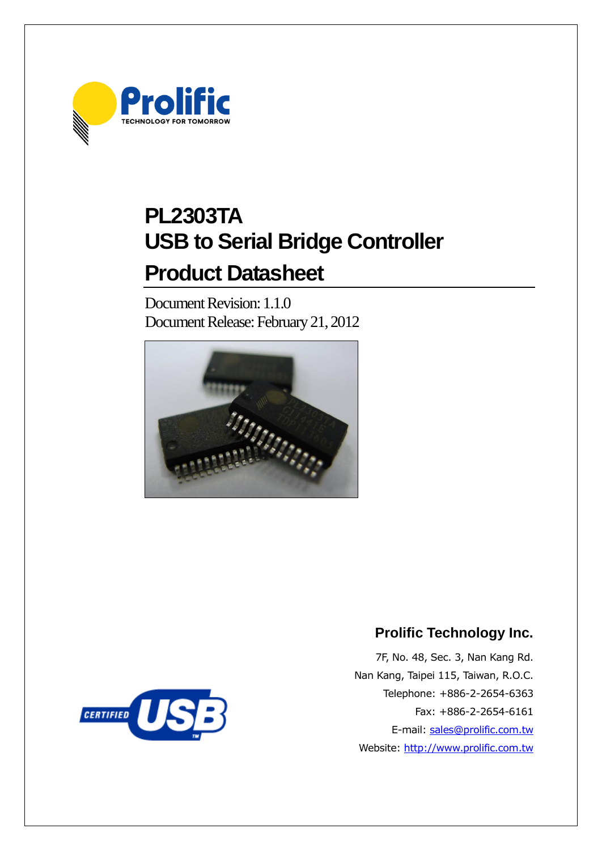

# **PL2303TA USB to Serial Bridge Controller Product Datasheet**

Document Revision: 1.1.0 Document Release: February 21, 2012





# **Prolific Technology Inc.**

7F, No. 48, Sec. 3, Nan Kang Rd. Nan Kang, Taipei 115, Taiwan, R.O.C. Telephone: +886-2-2654-6363 Fax: +886-2-2654-6161 E-mail: [sales@prolific.com.tw](mailto:sales@prolific.com.tw) Website: [http://www.prolific.com.tw](http://www.prolific.com.tw/)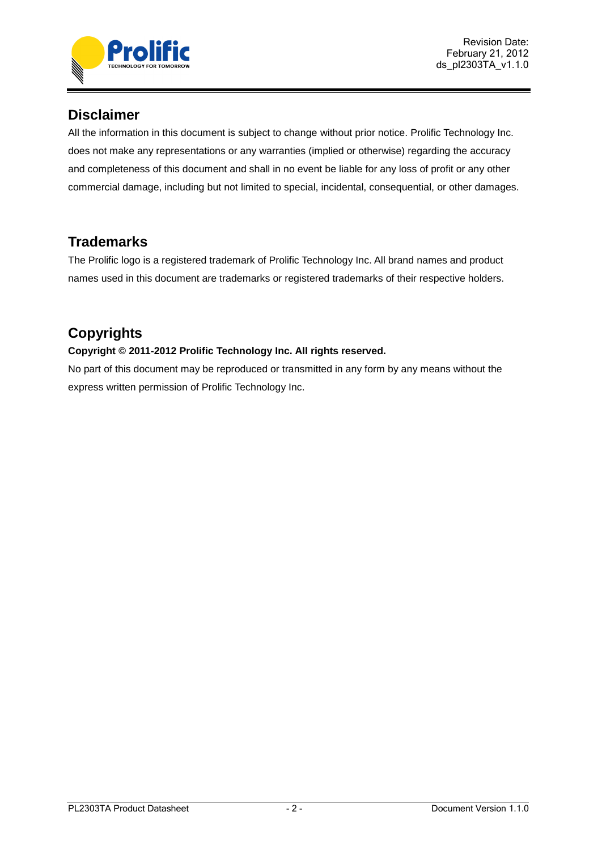

# **Disclaimer**

All the information in this document is subject to change without prior notice. Prolific Technology Inc. does not make any representations or any warranties (implied or otherwise) regarding the accuracy and completeness of this document and shall in no event be liable for any loss of profit or any other commercial damage, including but not limited to special, incidental, consequential, or other damages.

# **Trademarks**

The Prolific logo is a registered trademark of Prolific Technology Inc. All brand names and product names used in this document are trademarks or registered trademarks of their respective holders.

# **Copyrights**

## **Copyright © 2011-2012 Prolific Technology Inc. All rights reserved.**

No part of this document may be reproduced or transmitted in any form by any means without the express written permission of Prolific Technology Inc.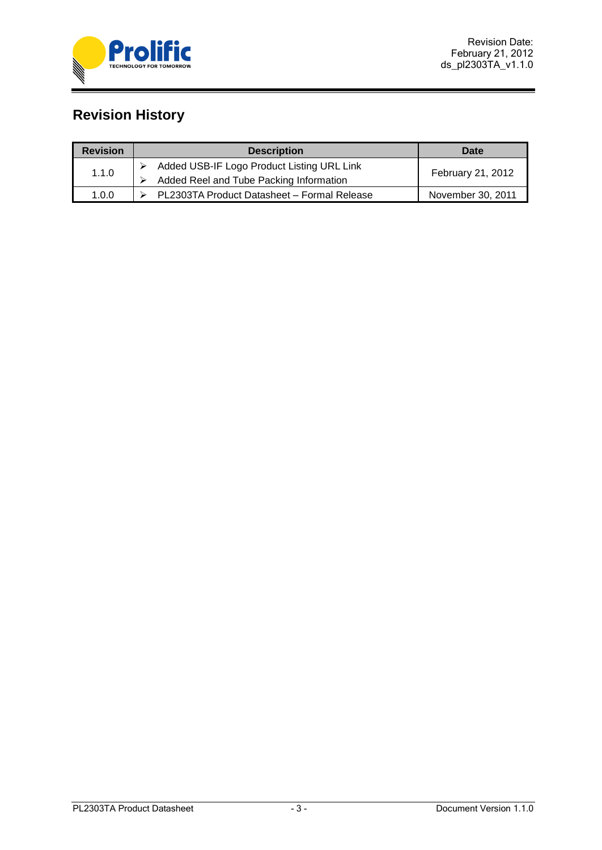

# **Revision History**

| <b>Revision</b> | <b>Description</b>                                                                    | Date                     |
|-----------------|---------------------------------------------------------------------------------------|--------------------------|
| 1.1.0           | Added USB-IF Logo Product Listing URL Link<br>Added Reel and Tube Packing Information | <b>February 21, 2012</b> |
| 1.0.0           | PL2303TA Product Datasheet - Formal Release                                           | November 30, 2011        |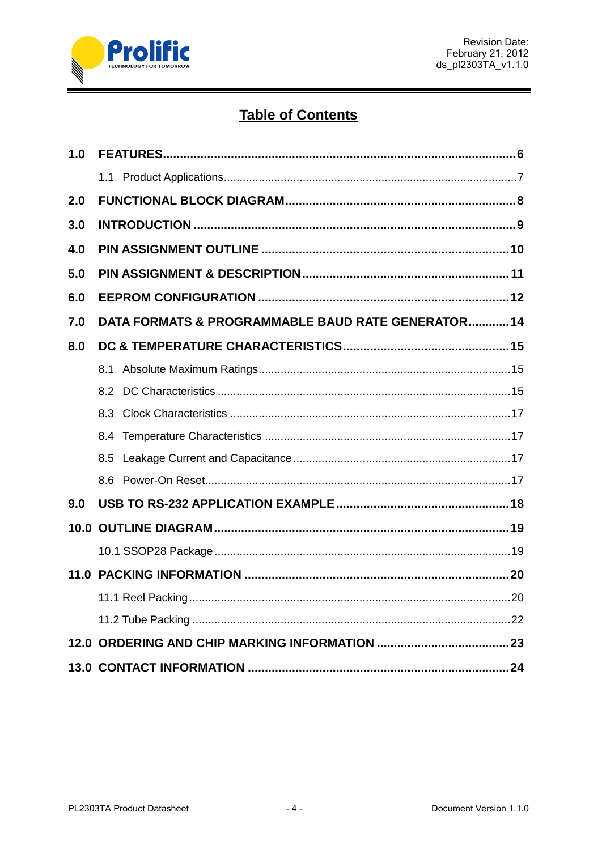

# **Table of Contents**

| 1.0  |                                                    |    |
|------|----------------------------------------------------|----|
|      |                                                    |    |
| 2.0  |                                                    |    |
| 3.0  |                                                    |    |
| 4.0  |                                                    |    |
| 5.0  |                                                    |    |
| 6.0  |                                                    |    |
| 7.0  | DATA FORMATS & PROGRAMMABLE BAUD RATE GENERATOR 14 |    |
| 8.0  |                                                    |    |
|      | 8.1                                                |    |
|      | 8.2                                                |    |
|      | 8.3                                                |    |
|      | 8.4                                                |    |
|      | 8.5                                                |    |
|      |                                                    |    |
| 9.0  |                                                    |    |
| 10.0 |                                                    |    |
|      |                                                    |    |
| 11.0 |                                                    |    |
|      | 11.1 Reel Packing                                  | 20 |
|      |                                                    |    |
|      |                                                    |    |
|      |                                                    |    |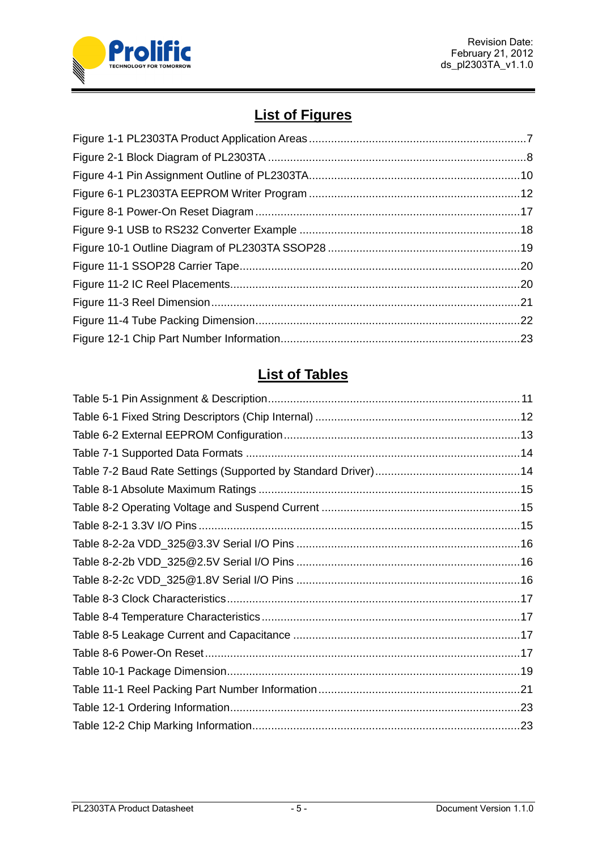

# **List of Figures**

# **List of Tables**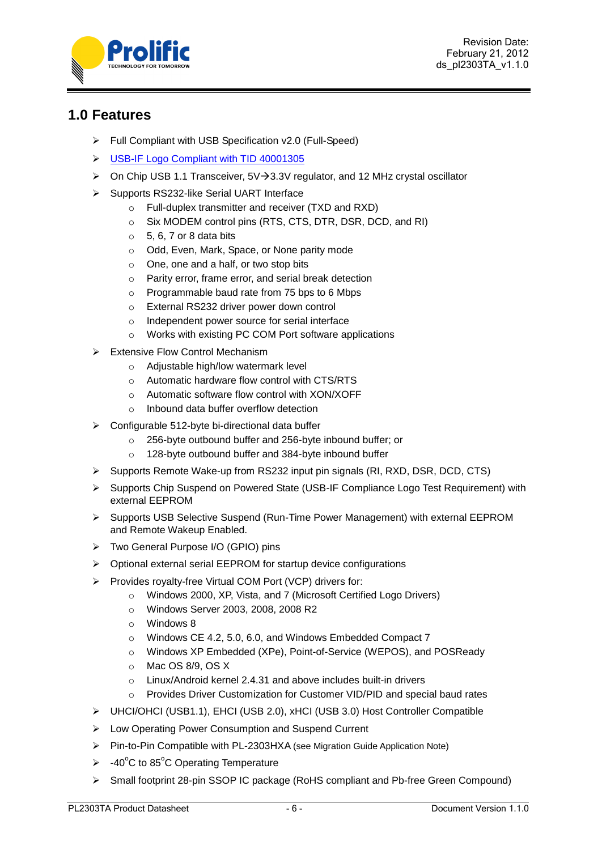

Revision Date: February 21, 2012 ds\_pl2303TA\_v1.1.0

# <span id="page-5-0"></span>**1.0 Features**

- Full Compliant with USB Specification v2.0 (Full-Speed)
- [USB-IF Logo Compliant with TID 40001305](https://www.usb.org/kcompliance/view/view_item?item_key=338e735ab216d496e245ab4c64c4a2b6a58f141e&referring_url=/kcompliance)
- $\triangleright$  On Chip USB 1.1 Transceiver, 5V $\rightarrow$ 3.3V regulator, and 12 MHz crystal oscillator
- Supports RS232-like Serial UART Interface
	- o Full-duplex transmitter and receiver (TXD and RXD)
	- o Six MODEM control pins (RTS, CTS, DTR, DSR, DCD, and RI)
	- $\circ$  5, 6, 7 or 8 data bits
	- o Odd, Even, Mark, Space, or None parity mode
	- o One, one and a half, or two stop bits
	- o Parity error, frame error, and serial break detection
	- o Programmable baud rate from 75 bps to 6 Mbps
	- o External RS232 driver power down control
	- o Independent power source for serial interface
	- o Works with existing PC COM Port software applications
- $\triangleright$  Extensive Flow Control Mechanism
	- o Adjustable high/low watermark level
	- o Automatic hardware flow control with CTS/RTS
	- o Automatic software flow control with XON/XOFF
	- o Inbound data buffer overflow detection
- $\triangleright$  Configurable 512-byte bi-directional data buffer
	- o 256-byte outbound buffer and 256-byte inbound buffer; or
	- o 128-byte outbound buffer and 384-byte inbound buffer
- $\triangleright$  Supports Remote Wake-up from RS232 input pin signals (RI, RXD, DSR, DCD, CTS)
- Supports Chip Suspend on Powered State (USB-IF Compliance Logo Test Requirement) with external EEPROM
- $\triangleright$  Supports USB Selective Suspend (Run-Time Power Management) with external EEPROM and Remote Wakeup Enabled.
- Two General Purpose I/O (GPIO) pins
- Optional external serial EEPROM for startup device configurations
- Provides royalty-free Virtual COM Port (VCP) drivers for:
	- o Windows 2000, XP, Vista, and 7 (Microsoft Certified Logo Drivers)
	- o Windows Server 2003, 2008, 2008 R2
	- o Windows 8
	- o Windows CE 4.2, 5.0, 6.0, and Windows Embedded Compact 7
	- o Windows XP Embedded (XPe), Point-of-Service (WEPOS), and POSReady
	- o Mac OS 8/9, OS X
	- o Linux/Android kernel 2.4.31 and above includes built-in drivers
	- o Provides Driver Customization for Customer VID/PID and special baud rates
- UHCI/OHCI (USB1.1), EHCI (USB 2.0), xHCI (USB 3.0) Host Controller Compatible
- Low Operating Power Consumption and Suspend Current
- Pin-to-Pin Compatible with PL-2303HXA (see Migration Guide Application Note)
- $\geq$  -40°C to 85°C Operating Temperature
- Small footprint 28-pin SSOP IC package (RoHS compliant and Pb-free Green Compound)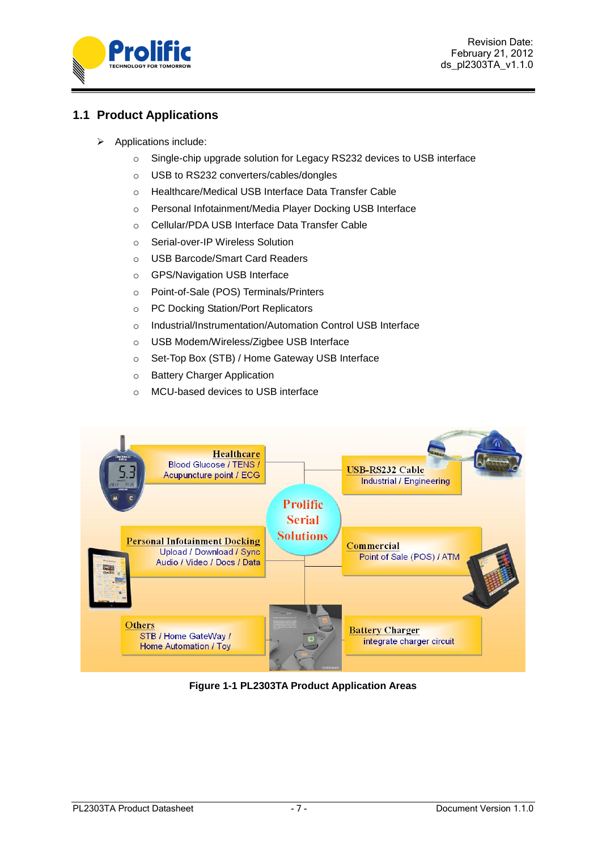

# <span id="page-6-0"></span>**1.1 Product Applications**

- $\triangleright$  Applications include:
	- o Single-chip upgrade solution for Legacy RS232 devices to USB interface
	- o USB to RS232 converters/cables/dongles
	- o Healthcare/Medical USB Interface Data Transfer Cable
	- o Personal Infotainment/Media Player Docking USB Interface
	- o Cellular/PDA USB Interface Data Transfer Cable
	- o Serial-over-IP Wireless Solution
	- o USB Barcode/Smart Card Readers
	- o GPS/Navigation USB Interface
	- o Point-of-Sale (POS) Terminals/Printers
	- o PC Docking Station/Port Replicators
	- o Industrial/Instrumentation/Automation Control USB Interface
	- o USB Modem/Wireless/Zigbee USB Interface
	- o Set-Top Box (STB) / Home Gateway USB Interface
	- o Battery Charger Application
	- o MCU-based devices to USB interface



<span id="page-6-1"></span>**Figure 1-1 PL2303TA Product Application Areas**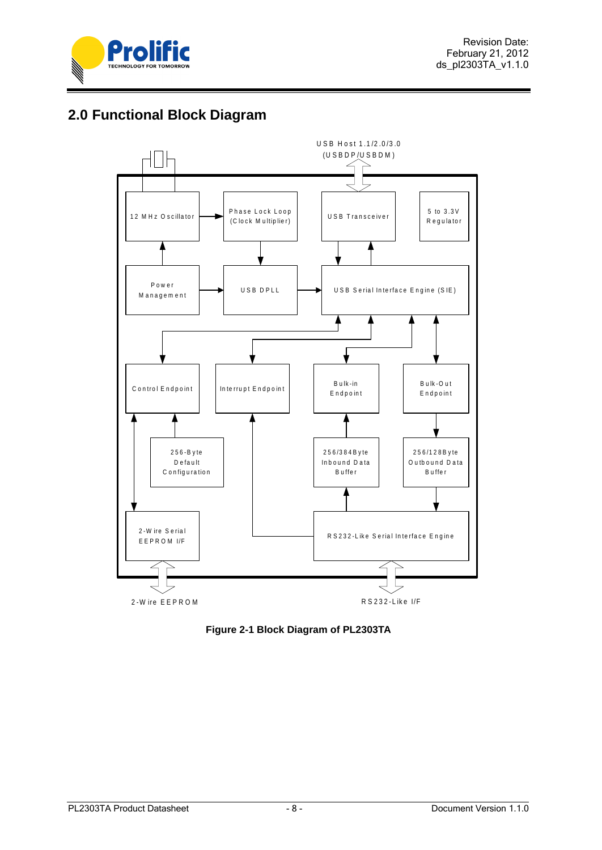

# <span id="page-7-0"></span>**2.0 Functional Block Diagram**



<span id="page-7-1"></span>**Figure 2-1 Block Diagram of PL2303TA**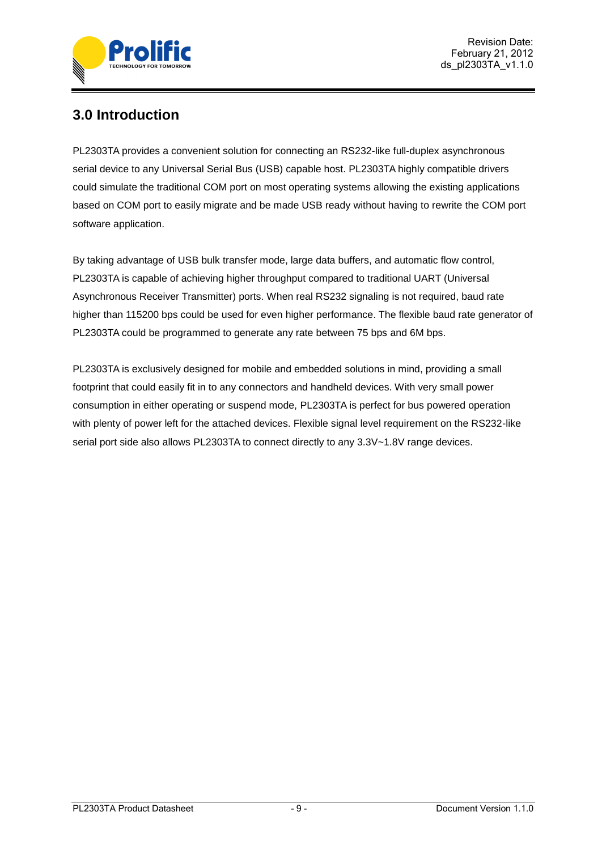

# <span id="page-8-0"></span>**3.0 Introduction**

PL2303TA provides a convenient solution for connecting an RS232-like full-duplex asynchronous serial device to any Universal Serial Bus (USB) capable host. PL2303TA highly compatible drivers could simulate the traditional COM port on most operating systems allowing the existing applications based on COM port to easily migrate and be made USB ready without having to rewrite the COM port software application.

By taking advantage of USB bulk transfer mode, large data buffers, and automatic flow control, PL2303TA is capable of achieving higher throughput compared to traditional UART (Universal Asynchronous Receiver Transmitter) ports. When real RS232 signaling is not required, baud rate higher than 115200 bps could be used for even higher performance. The flexible baud rate generator of PL2303TA could be programmed to generate any rate between 75 bps and 6M bps.

PL2303TA is exclusively designed for mobile and embedded solutions in mind, providing a small footprint that could easily fit in to any connectors and handheld devices. With very small power consumption in either operating or suspend mode, PL2303TA is perfect for bus powered operation with plenty of power left for the attached devices. Flexible signal level requirement on the RS232-like serial port side also allows PL2303TA to connect directly to any 3.3V~1.8V range devices.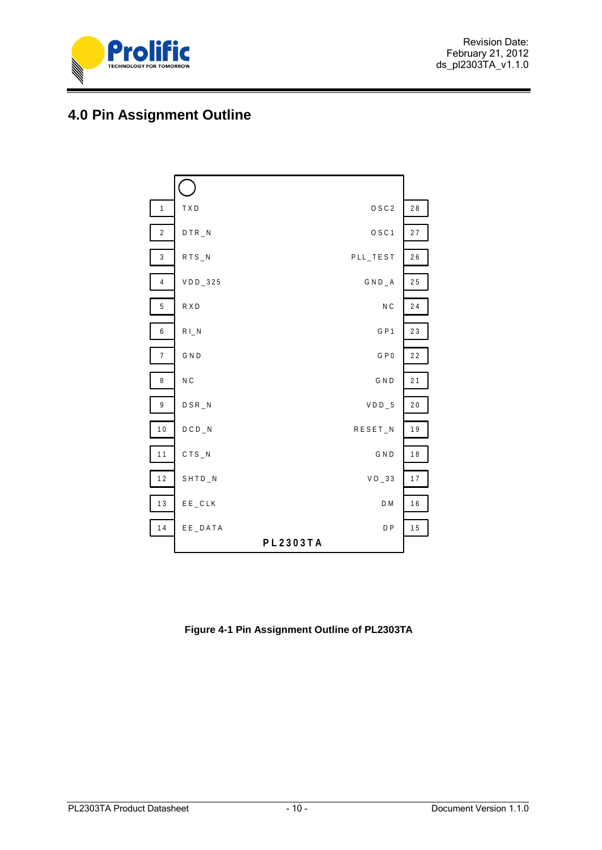

# <span id="page-9-0"></span>**4.0 Pin Assignment Outline**



<span id="page-9-1"></span>**Figure 4-1 Pin Assignment Outline of PL2303TA**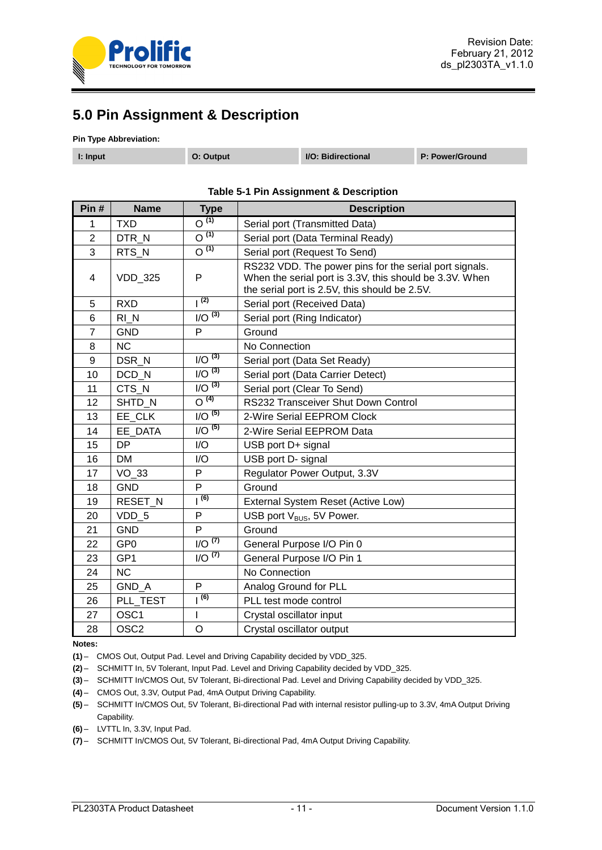

# <span id="page-10-0"></span>**5.0 Pin Assignment & Description**

#### **Pin Type Abbreviation:**

| I: Input | O: Output | I/O: Bidirectional | P: Power/Ground |
|----------|-----------|--------------------|-----------------|
|          |           |                    |                 |

<span id="page-10-1"></span>**Pin # Name Type Description** 1 TXD O<sup>(1)</sup> Serial port (Transmitted Data)<br>2 DTR N O<sup>(1)</sup> Serial port (Data Terminal Res 2 | DTR\_N | O<sup>(1)</sup> | Serial port (Data Terminal Ready) 3 RTS\_N O **(1)** Serial port (Request To Send) 4 | VDD 325 | P RS232 VDD. The power pins for the serial port signals. When the serial port is 3.3V, this should be 3.3V. When the serial port is 2.5V, this should be 2.5V. 5 RXD  $1^{(2)}$  Serial port (Received Data) 6 RI\_N I/O **(3)** Serial port (Ring Indicator) 7 GND P Ground 8 NC | No Connection 9 DSR N I/O <sup>(3)</sup> Serial port (Data Set Ready) 10 DCD\_N I/O <sup>(3)</sup> Serial port (Data Carrier Detect)<br>11 CTS N I/O <sup>(3)</sup> Serial port (Clear To Send) 11 CTS N I/O<sup>(3)</sup> Serial port (Clear To Send) 12 SHTD N O<sup>(4)</sup> RS232 Transceiver Shut Down Control 13 **EE\_CLK** I/O <sup>(5)</sup> 2-Wire Serial EEPROM Clock<br>14 **EE** DATA I/O <sup>(5)</sup> 2-Wire Serial EEPROM Data 14 | EE\_DATA | I/O <sup>(5)</sup> | 2-Wire Serial EEPROM Data 15 DP | I/O | USB port D+ signal 16 | DM | I/O | USB port D- signal 17 | VO 33 | P | Regulator Power Output, 3.3V 18 GND P Ground 19 RESET<sub>\_N</sub> | 1<sup>(6)</sup> External System Reset (Active Low) 20 VDD<sub>\_5</sub> P USB port V<sub>BUS</sub>, 5V Power. 21 GND P Ground 22 GP0  $\vert$  I/O  $^{(7)}$  General Purpose I/O Pin 0 23 GP1 I/O <sup>(7)</sup> General Purpose I/O Pin 1 24 NC No Connection 25 | GND\_A | P | Analog Ground for PLL 26 PLL TEST |  $\vert$ <sup>(6)</sup> | PLL test mode control 27 | OSC1 | I | Crystal oscillator input 28 | OSC2 | O | Crystal oscillator output

#### **Table 5-1 Pin Assignment & Description**

#### **Notes:**

**(1)** – CMOS Out, Output Pad. Level and Driving Capability decided by VDD\_325.

**(2)** – SCHMITT In, 5V Tolerant, Input Pad. Level and Driving Capability decided by VDD\_325.

**(3)** – SCHMITT In/CMOS Out, 5V Tolerant, Bi-directional Pad. Level and Driving Capability decided by VDD\_325.

**(4)** – CMOS Out, 3.3V, Output Pad, 4mA Output Driving Capability.

**(5)** – SCHMITT In/CMOS Out, 5V Tolerant, Bi-directional Pad with internal resistor pulling-up to 3.3V, 4mA Output Driving Capability.

**(6)** – LVTTL In, 3.3V, Input Pad.

**(7)** – SCHMITT In/CMOS Out, 5V Tolerant, Bi-directional Pad, 4mA Output Driving Capability.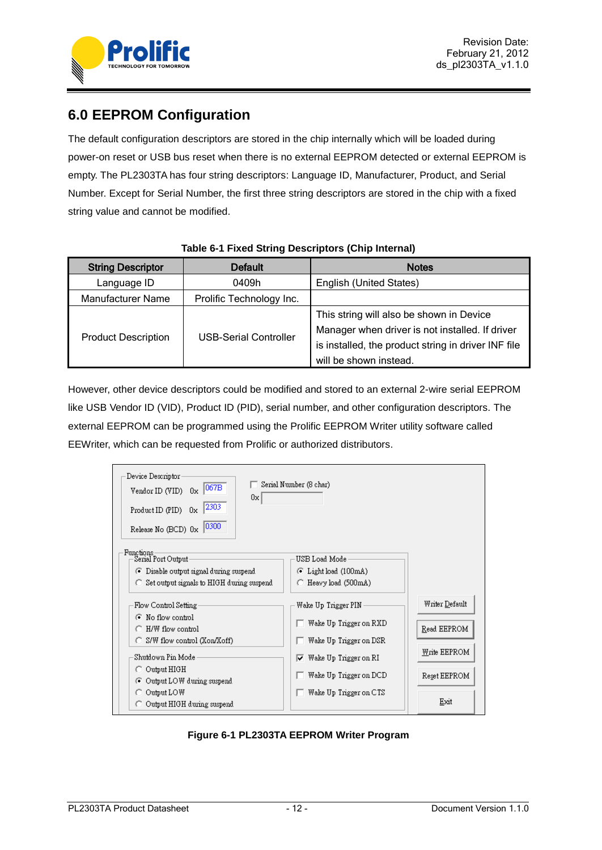

# <span id="page-11-0"></span>**6.0 EEPROM Configuration**

The default configuration descriptors are stored in the chip internally which will be loaded during power-on reset or USB bus reset when there is no external EEPROM detected or external EEPROM is empty. The PL2303TA has four string descriptors: Language ID, Manufacturer, Product, and Serial Number. Except for Serial Number, the first three string descriptors are stored in the chip with a fixed string value and cannot be modified.

<span id="page-11-2"></span>

| <b>String Descriptor</b>   | <b>Default</b>               | <b>Notes</b>                                                                                                                                                                 |
|----------------------------|------------------------------|------------------------------------------------------------------------------------------------------------------------------------------------------------------------------|
| Language ID                | 0409h                        | English (United States)                                                                                                                                                      |
| <b>Manufacturer Name</b>   | Prolific Technology Inc.     |                                                                                                                                                                              |
| <b>Product Description</b> | <b>USB-Serial Controller</b> | This string will also be shown in Device<br>Manager when driver is not installed. If driver<br>is installed, the product string in driver INF file<br>will be shown instead. |

## **Table 6-1 Fixed String Descriptors (Chip Internal)**

However, other device descriptors could be modified and stored to an external 2-wire serial EEPROM like USB Vendor ID (VID), Product ID (PID), serial number, and other configuration descriptors. The external EEPROM can be programmed using the Prolific EEPROM Writer utility software called EEWriter, which can be requested from Prolific or authorized distributors.

| Device Descriptor<br>067B<br>Vendor ID (VID) 0x<br>0x<br>2303<br>Product ID (PID)<br>0x<br>10300<br>Release No (BCD) 0x | Serial Number (8 char)         |                |
|-------------------------------------------------------------------------------------------------------------------------|--------------------------------|----------------|
| Functions-<br>Serial Port Output                                                                                        | USB Load Mode                  |                |
| • Disable output signal during suspend                                                                                  | C Light load (100mA)           |                |
| $\bigcap$ Set output signals to HIGH during suspend                                                                     | C Heavy load (500mA)           |                |
| Flow Control Setting                                                                                                    | Wake Up Trigger PIN            | Writer Default |
| • No flow control<br>$\bigcirc$ H/W flow control                                                                        | Wake Up Trigger on RXD         | Read EEPROM    |
| $\bigcirc$ S/W flow control (Xon/Xoff)                                                                                  | Wake Up Trigger on DSR         |                |
| Shutdown Pin Mode                                                                                                       | $\nabla$ Wake Up Trigger on RI | Write EEPROM   |
| $\bigcirc$ Output HIGH<br>⊙ Output LOW during suspend                                                                   | Wake Up Trigger on DCD         | Reset EEPROM   |
| Output LOW                                                                                                              | Wake Up Trigger on CTS         |                |
| Output HIGH during suspend                                                                                              |                                | Exit           |

<span id="page-11-1"></span>**Figure 6-1 PL2303TA EEPROM Writer Program**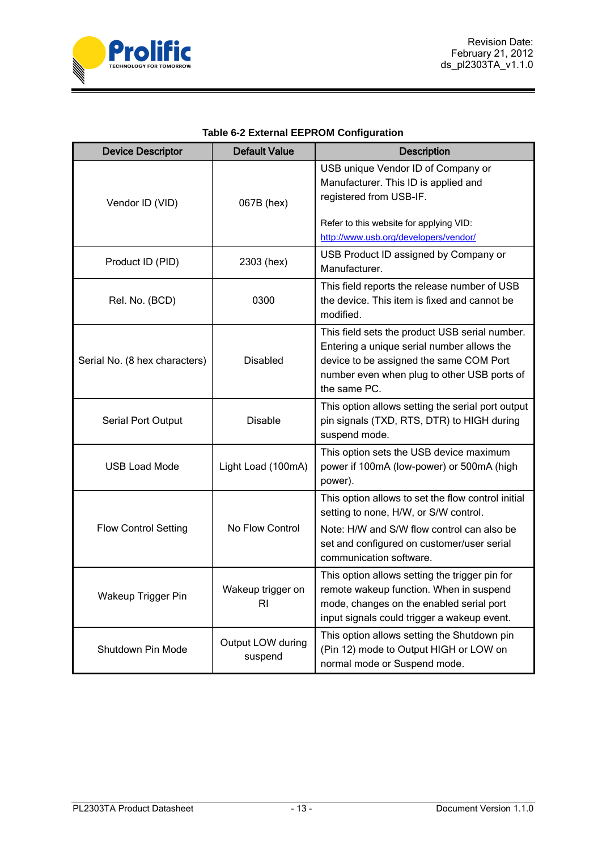

|  | <b>Table 6-2 External EEPROM Configuration</b> |
|--|------------------------------------------------|
|  |                                                |

<span id="page-12-0"></span>

| <b>Device Descriptor</b>                      | <b>Default Value</b>         | <b>Description</b>                                                                                                                                                                                     |
|-----------------------------------------------|------------------------------|--------------------------------------------------------------------------------------------------------------------------------------------------------------------------------------------------------|
| Vendor ID (VID)                               | 067B (hex)                   | USB unique Vendor ID of Company or<br>Manufacturer. This ID is applied and<br>registered from USB-IF.                                                                                                  |
|                                               |                              | Refer to this website for applying VID:<br>http://www.usb.org/developers/vendor/                                                                                                                       |
| Product ID (PID)                              | 2303 (hex)                   | USB Product ID assigned by Company or<br>Manufacturer.                                                                                                                                                 |
| Rel. No. (BCD)                                | 0300                         | This field reports the release number of USB<br>the device. This item is fixed and cannot be<br>modified.                                                                                              |
| Serial No. (8 hex characters)                 | <b>Disabled</b>              | This field sets the product USB serial number.<br>Entering a unique serial number allows the<br>device to be assigned the same COM Port<br>number even when plug to other USB ports of<br>the same PC. |
| Serial Port Output                            | <b>Disable</b>               | This option allows setting the serial port output<br>pin signals (TXD, RTS, DTR) to HIGH during<br>suspend mode.                                                                                       |
| <b>USB Load Mode</b>                          | Light Load (100mA)           | This option sets the USB device maximum<br>power if 100mA (low-power) or 500mA (high<br>power).                                                                                                        |
|                                               |                              | This option allows to set the flow control initial<br>setting to none, H/W, or S/W control.                                                                                                            |
| <b>Flow Control Setting</b>                   | No Flow Control              | Note: H/W and S/W flow control can also be<br>set and configured on customer/user serial<br>communication software.                                                                                    |
| Wakeup trigger on<br>Wakeup Trigger Pin<br>RI |                              | This option allows setting the trigger pin for<br>remote wakeup function. When in suspend<br>mode, changes on the enabled serial port<br>input signals could trigger a wakeup event.                   |
| Shutdown Pin Mode                             | Output LOW during<br>suspend | This option allows setting the Shutdown pin<br>(Pin 12) mode to Output HIGH or LOW on<br>normal mode or Suspend mode.                                                                                  |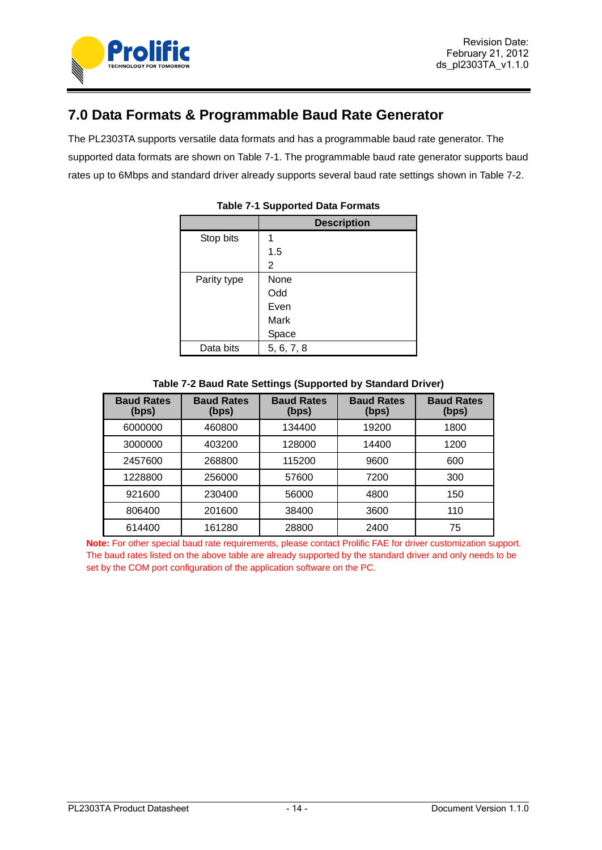

# <span id="page-13-0"></span>**7.0 Data Formats & Programmable Baud Rate Generator**

<span id="page-13-1"></span>The PL2303TA supports versatile data formats and has a programmable baud rate generator. The supported data formats are shown on Table 7-1. The programmable baud rate generator supports baud rates up to 6Mbps and standard driver already supports several baud rate settings shown in Table 7-2.

|             | <b>Description</b> |
|-------------|--------------------|
| Stop bits   |                    |
|             | 1.5                |
|             | 2                  |
| Parity type | None               |
|             | Odd                |
|             | Even               |
|             | Mark               |
|             | Space              |
| Data bits   | 5, 6, 7, 8         |

## **Table 7-1 Supported Data Formats**

| Table 7-2 Baud Rate Settings (Supported by Standard Driver) |  |  |
|-------------------------------------------------------------|--|--|

<span id="page-13-2"></span>

| <b>Baud Rates</b><br>(bps) | <b>Baud Rates</b><br>(bps) | <b>Baud Rates</b><br>(bps) | <b>Baud Rates</b><br>(bps) | <b>Baud Rates</b><br>(bps) |
|----------------------------|----------------------------|----------------------------|----------------------------|----------------------------|
| 6000000                    | 460800                     | 134400                     | 19200                      | 1800                       |
| 3000000                    | 403200                     | 128000                     | 14400                      | 1200                       |
| 2457600                    | 268800                     | 115200                     | 9600                       | 600                        |
| 1228800                    | 256000                     | 57600                      | 7200                       | 300                        |
| 921600                     | 230400                     | 56000                      | 4800                       | 150                        |
| 806400                     | 201600                     | 38400                      | 3600                       | 110                        |
| 614400                     | 161280                     | 28800                      | 2400                       | 75                         |

**Note:** For other special baud rate requirements, please contact Prolific FAE for driver customization support. The baud rates listed on the above table are already supported by the standard driver and only needs to be set by the COM port configuration of the application software on the PC.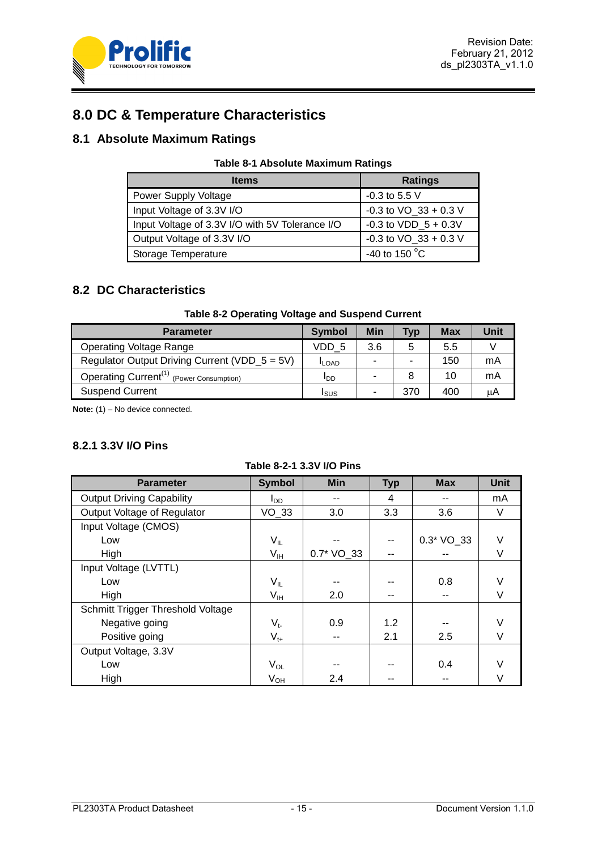

# <span id="page-14-0"></span>**8.0 DC & Temperature Characteristics**

## <span id="page-14-3"></span><span id="page-14-1"></span>**8.1 Absolute Maximum Ratings**

| <b>Table 8-1 Absolute Maximum Ratings</b> |  |  |
|-------------------------------------------|--|--|
|-------------------------------------------|--|--|

| <b>Items</b>                                    | <b>Ratings</b>            |
|-------------------------------------------------|---------------------------|
| <b>Power Supply Voltage</b>                     | $-0.3$ to 5.5 V           |
| Input Voltage of 3.3V I/O                       | $-0.3$ to VO $33 + 0.3$ V |
| Input Voltage of 3.3V I/O with 5V Tolerance I/O | $-0.3$ to VDD $5 + 0.3V$  |
| Output Voltage of 3.3V I/O                      | -0.3 to $VO_33 + 0.3 V$   |
| Storage Temperature                             | -40 to 150 $\degree$ C    |

## <span id="page-14-2"></span>**8.2 DC Characteristics**

## **Table 8-2 Operating Voltage and Suspend Current**

<span id="page-14-4"></span>

| <b>Parameter</b>                                     | <b>Symbol</b> | Min | <b>Typ</b> | Max | Unit |
|------------------------------------------------------|---------------|-----|------------|-----|------|
| <b>Operating Voltage Range</b>                       | VDD 5         | 3.6 | 5          | 5.5 |      |
| Regulator Output Driving Current (VDD_5 = 5V)        | <b>ILOAD</b>  |     |            | 150 | mA   |
| Operating Current <sup>(1)</sup> (Power Consumption) | ססי           |     | 8          | 10  | mA   |
| <b>Suspend Current</b>                               | Isus          |     | 370        | 400 | uА   |

**Note:** (1) – No device connected.

## **8.2.1 3.3V I/O Pins**

<span id="page-14-5"></span>

| <b>Parameter</b>                  | <b>Symbol</b>              | <b>Min</b> | <b>Typ</b> | <b>Max</b>   | <b>Unit</b> |
|-----------------------------------|----------------------------|------------|------------|--------------|-------------|
| <b>Output Driving Capability</b>  | l <sub>DD</sub>            |            | 4          |              | mA          |
| Output Voltage of Regulator       | VO 33                      | 3.0        | 3.3        | 3.6          | V           |
| Input Voltage (CMOS)              |                            |            |            |              |             |
| Low                               | $\mathsf{V}_{\mathsf{IL}}$ |            |            | $0.3*$ VO_33 | $\vee$      |
| High                              | V <sub>IH</sub>            | 0.7* VO_33 | --         |              | V           |
| Input Voltage (LVTTL)             |                            |            |            |              |             |
| Low                               | $\mathsf{V}_{\mathsf{IL}}$ |            |            | 0.8          | V           |
| High                              | $V_{\text{IH}}$            | 2.0        | --         |              | V           |
| Schmitt Trigger Threshold Voltage |                            |            |            |              |             |
| Negative going                    | $V_{t-}$                   | 0.9        | 1.2        |              | V           |
| Positive going                    | $V_{t+}$                   |            | 2.1        | 2.5          | V           |
| Output Voltage, 3.3V              |                            |            |            |              |             |
| Low                               | $V_{OL}$                   |            |            | 0.4          | V           |
| High                              | $V_{OH}$                   | 2.4        |            |              | V           |

## **Table 8-2-1 3.3V I/O Pins**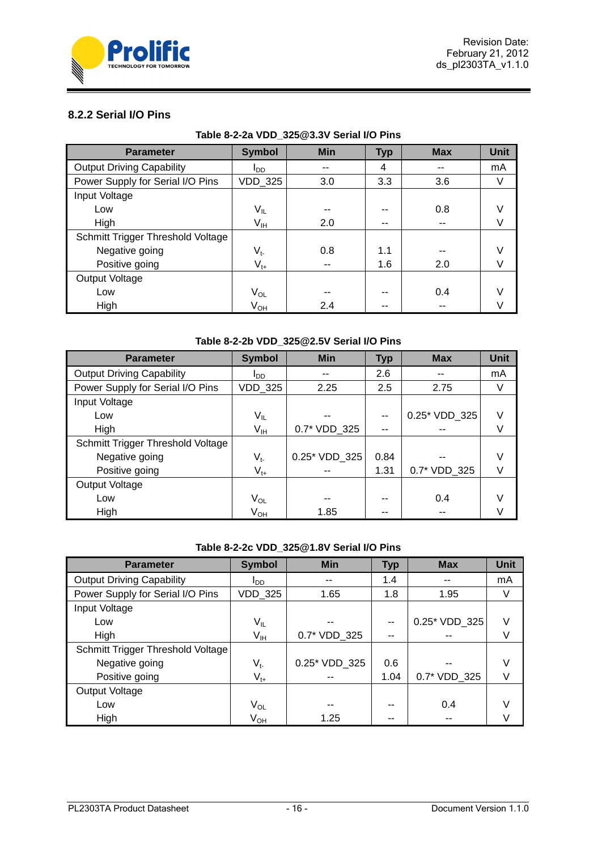

## **8.2.2 Serial I/O Pins**

<span id="page-15-0"></span>

| <b>Parameter</b>                  | <b>Symbol</b>              | <b>Min</b> | <b>Typ</b> | <b>Max</b> | <b>Unit</b> |  |
|-----------------------------------|----------------------------|------------|------------|------------|-------------|--|
| <b>Output Driving Capability</b>  | l <sub>DD</sub>            |            | 4          |            | mA          |  |
| Power Supply for Serial I/O Pins  | VDD_325                    | 3.0        | 3.3        | 3.6        | V           |  |
| Input Voltage                     |                            |            |            |            |             |  |
| Low                               | $\mathsf{V}_{\mathsf{IL}}$ |            | --         | 0.8        | V           |  |
| High                              | $V_{IH}$                   | 2.0        | --         | --         | V           |  |
| Schmitt Trigger Threshold Voltage |                            |            |            |            |             |  |
| Negative going                    | $V_{t}$                    | 0.8        | 1.1        |            | V           |  |
| Positive going                    | $V_{t+}$                   | --         | 1.6        | 2.0        | V           |  |
| Output Voltage                    |                            |            |            |            |             |  |
| Low                               | $V_{OL}$                   |            | --         | 0.4        | V           |  |
| High                              | V <sub>OH</sub>            | 2.4        | --         |            |             |  |

## **Table 8-2-2a VDD\_325@3.3V Serial I/O Pins**

## **Table 8-2-2b VDD\_325@2.5V Serial I/O Pins**

<span id="page-15-1"></span>

| <b>Parameter</b>                  | <b>Symbol</b>   | <b>Min</b>    | <b>Typ</b> | <b>Max</b>    | <b>Unit</b> |
|-----------------------------------|-----------------|---------------|------------|---------------|-------------|
| <b>Output Driving Capability</b>  | סמי             |               | 2.6        |               | mA          |
| Power Supply for Serial I/O Pins  | <b>VDD 325</b>  | 2.25          | 2.5        | 2.75          | V           |
| Input Voltage                     |                 |               |            |               |             |
| Low                               | V <sub>IL</sub> |               | --         | 0.25* VDD 325 | V           |
| High                              | V <sub>IH</sub> | 0.7* VDD 325  | --         |               | V           |
| Schmitt Trigger Threshold Voltage |                 |               |            |               |             |
| Negative going                    | $V_{t}$         | 0.25* VDD_325 | 0.84       |               | V           |
| Positive going                    | $V_{t+}$        |               | 1.31       | 0.7* VDD 325  | V           |
| Output Voltage                    |                 |               |            |               |             |
| Low                               | V <sub>OL</sub> | --            | --         | 0.4           | V           |
| High                              | V <sub>он</sub> | 1.85          | --         |               |             |

## **Table 8-2-2c VDD\_325@1.8V Serial I/O Pins**

<span id="page-15-2"></span>

| <b>Parameter</b>                  | <b>Symbol</b>   | <b>Min</b>    | <b>Typ</b> | <b>Max</b>    | <b>Unit</b> |
|-----------------------------------|-----------------|---------------|------------|---------------|-------------|
| <b>Output Driving Capability</b>  | l <sub>DD</sub> |               | 1.4        |               | mA          |
| Power Supply for Serial I/O Pins  | VDD_325         | 1.65          | 1.8        | 1.95          | V           |
| Input Voltage                     |                 |               |            |               |             |
| Low                               | V <sub>IL</sub> |               |            | 0.25* VDD 325 | V           |
| High                              | $V_{IH}$        | 0.7* VDD 325  |            |               | V           |
| Schmitt Trigger Threshold Voltage |                 |               |            |               |             |
| Negative going                    | $V_{t}$         | 0.25* VDD 325 | 0.6        |               | V           |
| Positive going                    | $V_{t+}$        |               | 1.04       | 0.7* VDD 325  | V           |
| Output Voltage                    |                 |               |            |               |             |
| Low                               | V <sub>OL</sub> |               |            | 0.4           |             |
| High                              | V <sub>OH</sub> | 1.25          |            |               |             |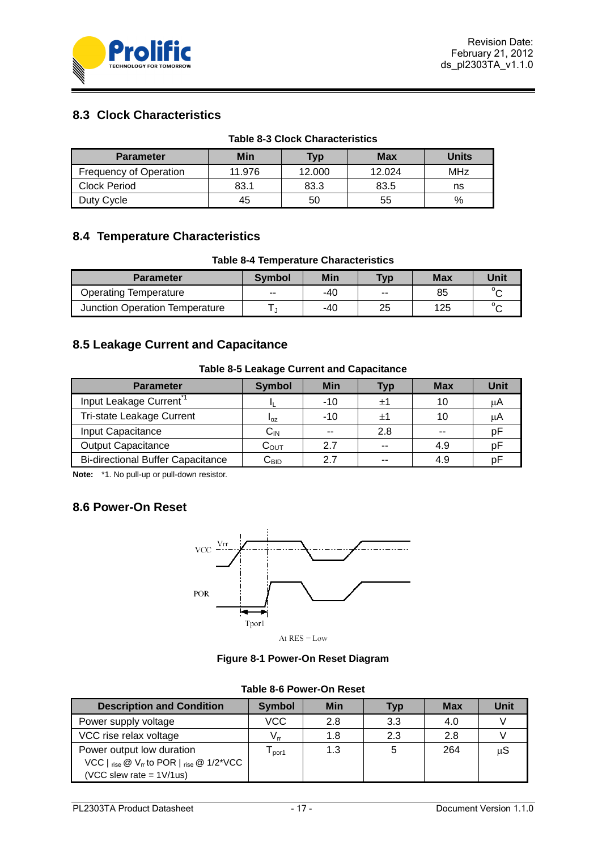

# <span id="page-16-0"></span>**8.3 Clock Characteristics**

<span id="page-16-5"></span>

| <b>Table 8-3 Clock Characteristics</b> |        |        |        |              |  |  |  |  |
|----------------------------------------|--------|--------|--------|--------------|--|--|--|--|
| <b>Parameter</b>                       | Min    | Typ    | Max    | <b>Units</b> |  |  |  |  |
| <b>Frequency of Operation</b>          | 11.976 | 12.000 | 12.024 | MHz          |  |  |  |  |
| <b>Clock Period</b>                    | 83.1   | 83.3   | 83.5   | ns           |  |  |  |  |
| Duty Cycle                             | 45     | 50     | 55     | %            |  |  |  |  |

# <span id="page-16-1"></span>**8.4 Temperature Characteristics**

## **Table 8-4 Temperature Characteristics**

<span id="page-16-6"></span>

| <b>Parameter</b>               | Symbol | Min | Typ   | <b>Max</b> | Unit    |
|--------------------------------|--------|-----|-------|------------|---------|
| <b>Operating Temperature</b>   | $-$    | -40 | $- -$ | 85         | $\circ$ |
| Junction Operation Temperature |        | -40 | 25    | 125        | $\circ$ |

## <span id="page-16-2"></span>**8.5 Leakage Current and Capacitance**

## **Table 8-5 Leakage Current and Capacitance**

<span id="page-16-7"></span>

| <b>Parameter</b>                         | <b>Symbol</b>              | <b>Min</b> | <b>Typ</b>       | <b>Max</b> | Unit |
|------------------------------------------|----------------------------|------------|------------------|------------|------|
| Input Leakage Current <sup>*1</sup>      |                            | $-10$      | $^{\mathrm{+1}}$ |            | uА   |
| Tri-state Leakage Current                | $I_{OZ}$                   | $-10$      | $^{\mathrm{+1}}$ |            | μA   |
| Input Capacitance                        | $\mathsf{C}_{\mathsf{IN}}$ | $ -$       | 2.8              |            | рF   |
| <b>Output Capacitance</b>                | $\rm{C_{OUT}}$             | 27         | --               | 4.9        | рF   |
| <b>Bi-directional Buffer Capacitance</b> | $\mathrm{C_{BID}}$         | 27         | --               | 4.9        | рF   |

**Note:** \*1. No pull-up or pull-down resistor.

## <span id="page-16-3"></span>**8.6 Power-On Reset**



At  $RES = Low$ 

**Figure 8-1 Power-On Reset Diagram**

## **Table 8-6 Power-On Reset**

<span id="page-16-8"></span><span id="page-16-4"></span>

| <b>Description and Condition</b>                                                                                        | Symbol     | <b>Min</b> | <b>Typ</b> | Max | Unit |
|-------------------------------------------------------------------------------------------------------------------------|------------|------------|------------|-----|------|
| Power supply voltage                                                                                                    | <b>VCC</b> | 2.8        | 3.3        | 4.0 |      |
| VCC rise relax voltage                                                                                                  |            | 1.8        | 2.3        | 2.8 |      |
| Power output low duration<br>VCC $\vert$ rise $\circledcirc$ V <sub>rr</sub> to POR $\vert$ rise $\circledcirc$ 1/2*VCC | por1       | 1.3        |            | 264 | μS   |
| (VCC slew rate = $1 \frac{\text{V}}{\text{us}}$ )                                                                       |            |            |            |     |      |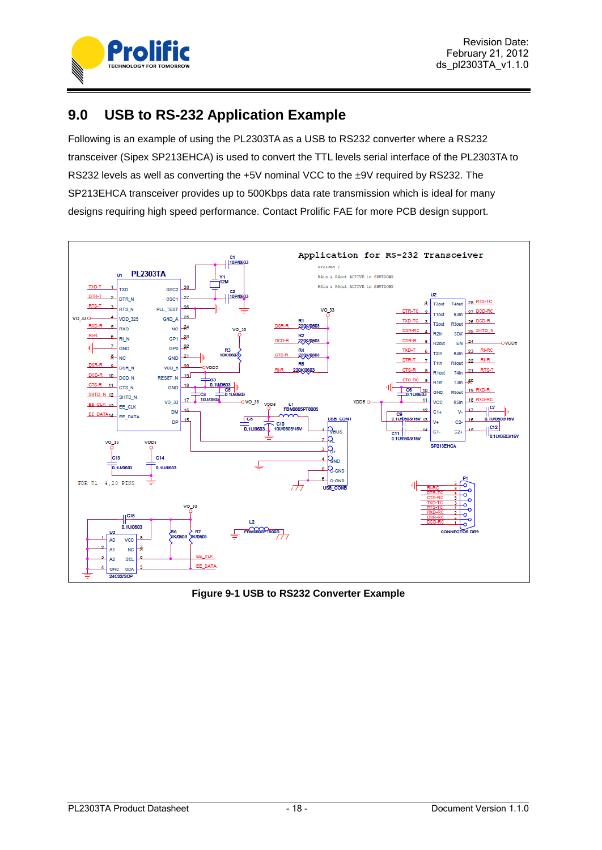

# <span id="page-17-0"></span>**9.0 USB to RS-232 Application Example**

Following is an example of using the PL2303TA as a USB to RS232 converter where a RS232 transceiver (Sipex SP213EHCA) is used to convert the TTL levels serial interface of the PL2303TA to RS232 levels as well as converting the +5V nominal VCC to the ±9V required by RS232. The SP213EHCA transceiver provides up to 500Kbps data rate transmission which is ideal for many designs requiring high speed performance. Contact Prolific FAE for more PCB design support.



<span id="page-17-1"></span>**Figure 9-1 USB to RS232 Converter Example**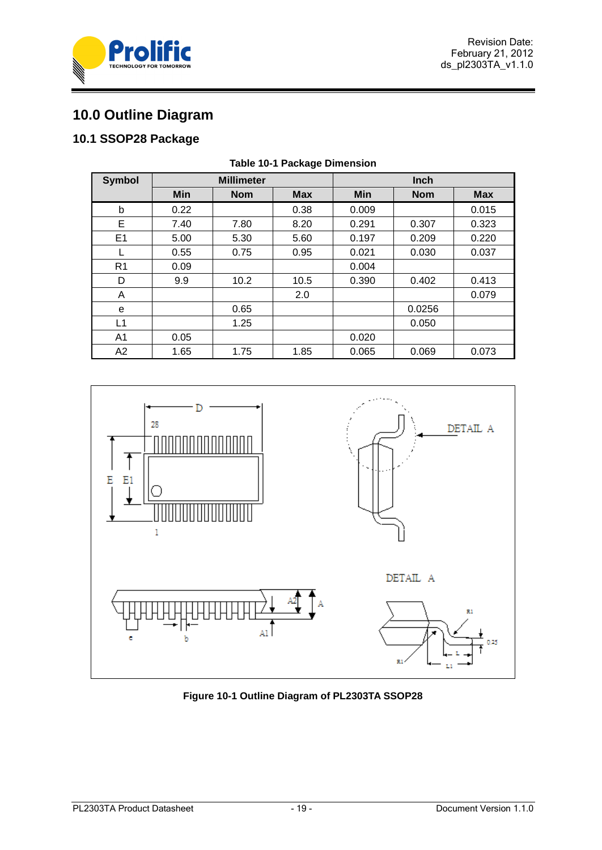



# <span id="page-18-0"></span>**10.0 Outline Diagram**

# <span id="page-18-3"></span><span id="page-18-1"></span>**10.1 SSOP28 Package**

| <b>Symbol</b>  | <b>Millimeter</b> |            |            |       | <b>Inch</b> |            |
|----------------|-------------------|------------|------------|-------|-------------|------------|
|                | Min               | <b>Nom</b> | <b>Max</b> | Min   | <b>Nom</b>  | <b>Max</b> |
| b              | 0.22              |            | 0.38       | 0.009 |             | 0.015      |
| Е              | 7.40              | 7.80       | 8.20       | 0.291 | 0.307       | 0.323      |
| E1             | 5.00              | 5.30       | 5.60       | 0.197 | 0.209       | 0.220      |
| L              | 0.55              | 0.75       | 0.95       | 0.021 | 0.030       | 0.037      |
| R <sub>1</sub> | 0.09              |            |            | 0.004 |             |            |
| D              | 9.9               | 10.2       | 10.5       | 0.390 | 0.402       | 0.413      |
| A              |                   |            | 2.0        |       |             | 0.079      |
| e              |                   | 0.65       |            |       | 0.0256      |            |
| L1             |                   | 1.25       |            |       | 0.050       |            |
| A1             | 0.05              |            |            | 0.020 |             |            |
| A2             | 1.65              | 1.75       | 1.85       | 0.065 | 0.069       | 0.073      |

#### **Table 10-1 Package Dimension**



<span id="page-18-2"></span>**Figure 10-1 Outline Diagram of PL2303TA SSOP28**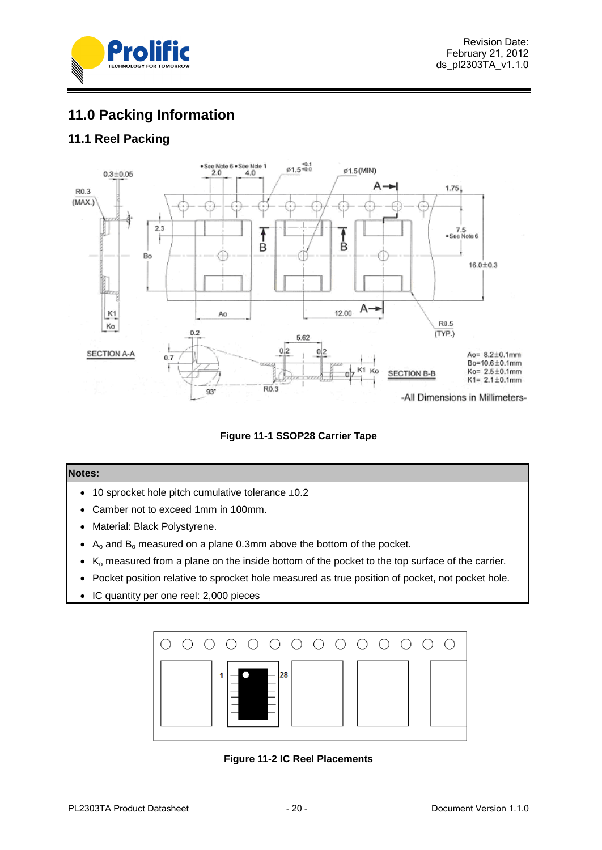

# <span id="page-19-0"></span>**11.0 Packing Information**

# <span id="page-19-1"></span>**11.1 Reel Packing**



**Figure 11-1 SSOP28 Carrier Tape**

#### <span id="page-19-2"></span>**Notes:**

- $\bullet$  10 sprocket hole pitch cumulative tolerance  $\pm 0.2$
- Camber not to exceed 1mm in 100mm.
- Material: Black Polystyrene.
- $A_0$  and  $B_0$  measured on a plane 0.3mm above the bottom of the pocket.
- $\bullet$  K<sub>o</sub> measured from a plane on the inside bottom of the pocket to the top surface of the carrier.
- Pocket position relative to sprocket hole measured as true position of pocket, not pocket hole.
- IC quantity per one reel: 2,000 pieces

<span id="page-19-3"></span>

**Figure 11-2 IC Reel Placements**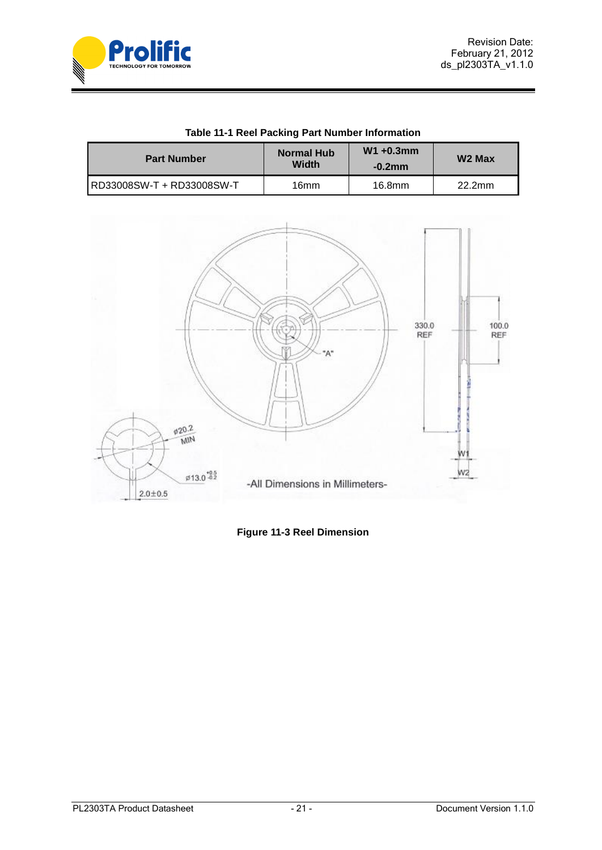

<span id="page-20-1"></span>

| <b>1996</b> THE ROOT FOURING FOR HUMING IMPORTANCE. |                                   |                            |                    |  |  |
|-----------------------------------------------------|-----------------------------------|----------------------------|--------------------|--|--|
| <b>Part Number</b>                                  | <b>Normal Hub</b><br><b>Width</b> | $W1 + 0.3$ mm<br>$-0.2$ mm | W <sub>2</sub> Max |  |  |
| RD33008SW-T + RD33008SW-T                           | 16mm                              | 16.8mm                     | 22.2mm             |  |  |

## **Table 11-1 Reel Packing Part Number Information**



<span id="page-20-0"></span>**Figure 11-3 Reel Dimension**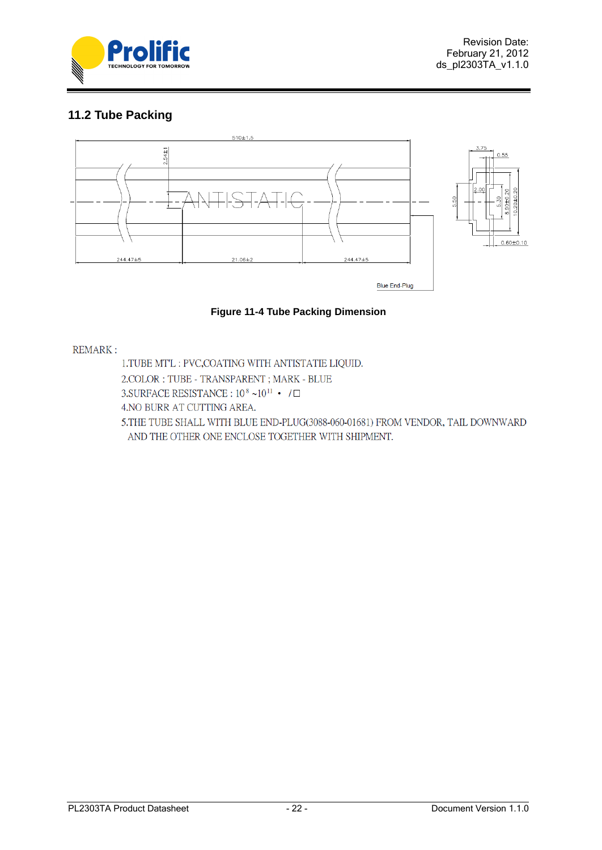

# <span id="page-21-0"></span>**11.2 Tube Packing**



## **Figure 11-4 Tube Packing Dimension**

## <span id="page-21-1"></span>**REMARK:**

1.TUBE MT'L : PVC, COATING WITH ANTISTATIE LIQUID. 2. COLOR: TUBE - TRANSPARENT; MARK - BLUE 3. SURFACE RESISTANCE:  $10^8 \sim 10^{11}$  · /  $\Box$ 4. NO BURR AT CUTTING AREA. 5.THE TUBE SHALL WITH BLUE END-PLUG(3088-060-01681) FROM VENDOR, TAIL DOWNWARD AND THE OTHER ONE ENCLOSE TOGETHER WITH SHIPMENT.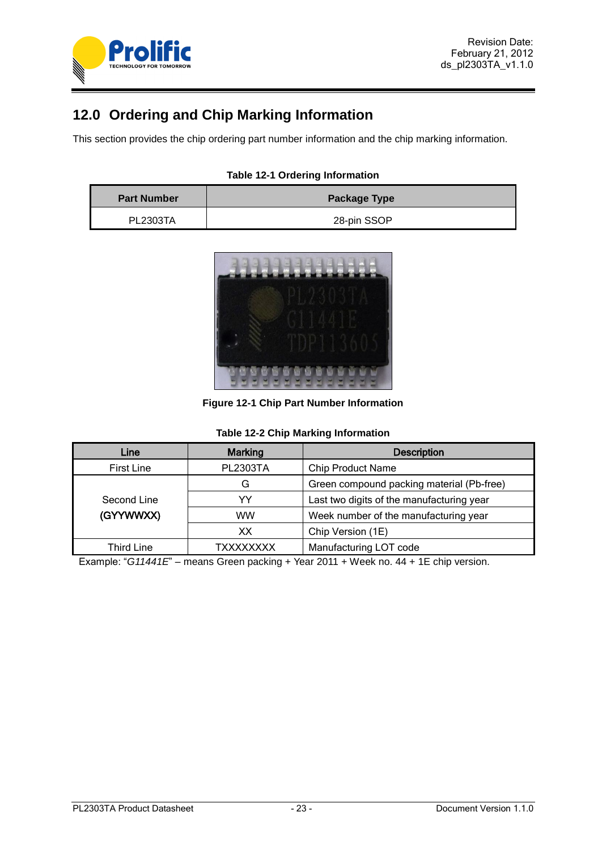

# <span id="page-22-0"></span>**12.0 Ordering and Chip Marking Information**

This section provides the chip ordering part number information and the chip marking information.

|  |  | <b>Table 12-1 Ordering Information</b> |
|--|--|----------------------------------------|
|--|--|----------------------------------------|

<span id="page-22-2"></span>

| <b>Part Number</b> | <b>Package Type</b> |  |
|--------------------|---------------------|--|
| <b>PL2303TA</b>    | 28-pin SSOP         |  |



**Figure 12-1 Chip Part Number Information**

|  |  | <b>Table 12-2 Chip Marking Information</b> |
|--|--|--------------------------------------------|
|  |  |                                            |

<span id="page-22-3"></span><span id="page-22-1"></span>

| Line              | <b>Marking</b>  | <b>Description</b>                        |
|-------------------|-----------------|-------------------------------------------|
| <b>First Line</b> | <b>PL2303TA</b> | <b>Chip Product Name</b>                  |
|                   | G               | Green compound packing material (Pb-free) |
| Second Line       | YY              | Last two digits of the manufacturing year |
| (GYYWWXX)         | <b>WW</b>       | Week number of the manufacturing year     |
|                   | XХ              | Chip Version (1E)                         |
| <b>Third Line</b> | TXXXXXXXX       | Manufacturing LOT code                    |

Example: "*G11441E*" – means Green packing + Year 2011 + Week no. 44 + 1E chip version.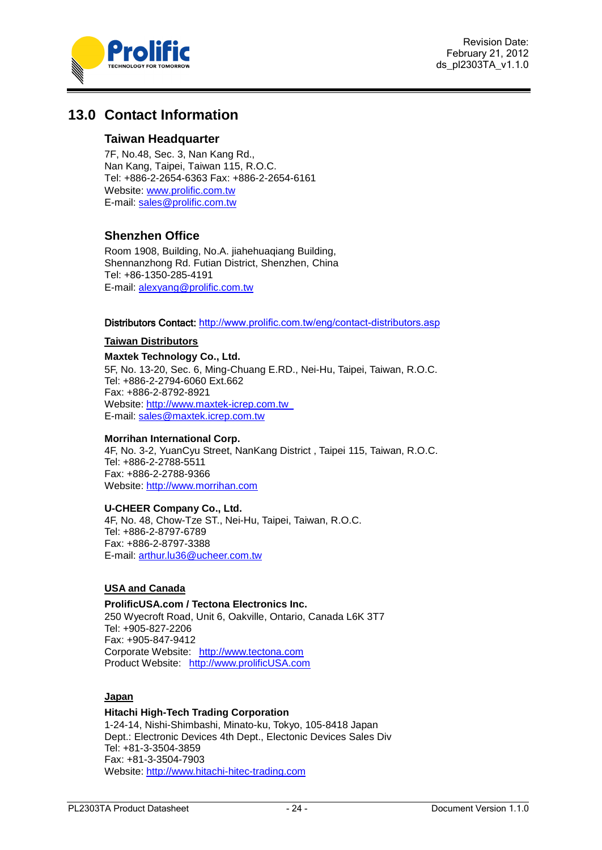

Revision Date: February 21, 2012 ds\_pl2303TA\_v1.1.0

# <span id="page-23-0"></span>**13.0 Contact Information**

## **Taiwan Headquarter**

7F, No.48, Sec. 3, Nan Kang Rd., Nan Kang, Taipei, Taiwan 115, R.O.C. Tel: +886-2-2654-6363 Fax: +886-2-2654-6161 Website: [www.prolific.com.tw](http://www.prolific.com.tw/)  E-mail: [sales@prolific.com.tw](mailto:sales@prolific.com.tw)

## **Shenzhen Office**

Room 1908, Building, No.A. jiahehuaqiang Building, Shennanzhong Rd. Futian District, Shenzhen, China Tel: +86-1350-285-4191 E-mail: [alexyang@prolific.com.tw](mailto:alexyang@prolific.com.tw)

#### Distributors Contact: <http://www.prolific.com.tw/eng/contact-distributors.asp>

#### **Taiwan Distributors**

## **Maxtek Technology Co., Ltd.**

5F, No. 13-20, Sec. 6, Ming-Chuang E.RD., Nei-Hu, Taipei, Taiwan, R.O.C. Tel: +886-2-2794-6060 Ext.662 Fax: +886-2-8792-8921 Website: [http://www.maxtek-icrep.com.tw](http://www.maxtek-icrep.com.tw/)  E-mail: [sales@maxtek.icrep.com.tw](mailto:sales@maxtek.icrep.com.tw)

## **Morrihan International Corp.**

4F, No. 3-2, YuanCyu Street, NanKang District , Taipei 115, Taiwan, R.O.C. Tel: +886-2-2788-5511 Fax: +886-2-2788-9366 Website: [http://www.morrihan.com](http://www.morrihan.com/)

## **U-CHEER Company Co., Ltd.**

4F, No. 48, Chow-Tze ST., Nei-Hu, Taipei, Taiwan, R.O.C. Tel: +886-2-8797-6789 Fax: +886-2-8797-3388 E-mail: [arthur.lu36@ucheer.com.tw](mailto:arthur.lu36@ucheer.com.tw)

## **USA and Canada**

## **ProlificUSA.com / Tectona Electronics Inc.**

250 Wyecroft Road, Unit 6, Oakville, Ontario, Canada L6K 3T7 Tel: +905-827-2206 Fax: +905-847-9412 Corporate Website: [http://www.tectona.com](http://www.tectona.com/) Product Website: [http://www.prolificUSA.com](http://www.prolificusa.com/)

## **Japan**

**Hitachi High-Tech Trading Corporation** 1-24-14, Nishi-Shimbashi, Minato-ku, Tokyo, 105-8418 Japan Dept.: Electronic Devices 4th Dept., Electonic Devices Sales Div Tel: +81-3-3504-3859 Fax: +81-3-3504-7903 Website: [http://www.hitachi-hitec-trading.com](http://www.hitachi-hitec.com/)